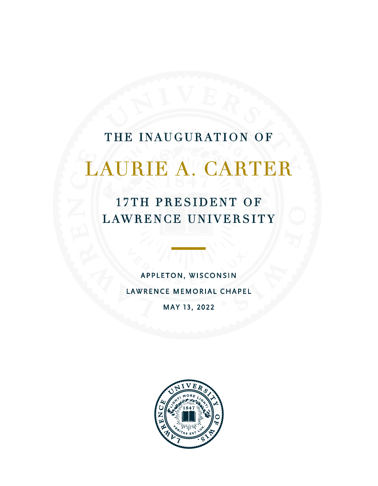# THE INAUGURATION OF

# LAURIE A. CARTER

17TH PRESIDENT OF LAWRENCE UNIVERSITY

> APPLETON, WISCONSIN LAWRENCE MEMORIAL CHAPEL MAY 13, 2022

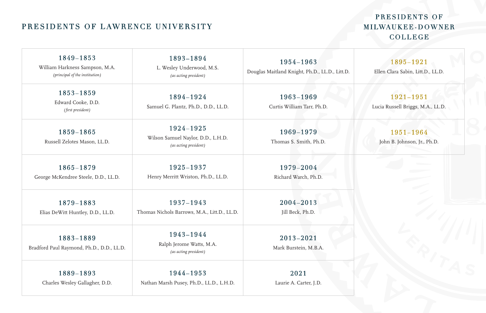# PRESIDENTS OF LAWRENCE UNIVERSITY

# PRESIDENTS OF M I LWAUKEE - DOWNER COLLEGE

| 1849-1853<br>William Harkness Sampson, M.A.<br>(principal of the institution) | 1893-1894<br>L. Wesley Underwood, M.S.<br>(as acting president)          | 1954-1963<br>Douglas Maitland Knight, Ph.D., LL.D., Litt.D. | 1895-1921<br>Ellen Clara Sabin, Litt.D., LL.D. |
|-------------------------------------------------------------------------------|--------------------------------------------------------------------------|-------------------------------------------------------------|------------------------------------------------|
| 1853-1859<br>Edward Cooke, D.D.<br>(first president)                          | 1894-1924<br>Samuel G. Plantz, Ph.D., D.D., LL.D.                        | 1963-1969<br>Curtis William Tarr, Ph.D.                     | 1921-1951<br>Lucia Russell Briggs, M.A., LL.D. |
| 1859-1865<br>Russell Zelotes Mason, LL.D.                                     | 1924-1925<br>Wilson Samuel Naylor, D.D., L.H.D.<br>(as acting president) | 1969-1979<br>Thomas S. Smith, Ph.D.                         | 1951-1964<br>John B. Johnson, Jr., Ph.D.       |
| 1865-1879<br>George McKendree Steele, D.D., LL.D.                             | 1925-1937<br>Henry Merritt Wriston, Ph.D., LL.D.                         | 1979-2004<br>Richard Warch, Ph.D.                           |                                                |
| 1879-1883<br>Elias DeWitt Huntley, D.D., LL.D.                                | 1937-1943<br>Thomas Nichols Barrows, M.A., Litt.D., LL.D.                | 2004-2013<br>Jill Beck, Ph.D.                               |                                                |
| 1883-1889<br>Bradford Paul Raymond, Ph.D., D.D., LL.D.                        | 1943-1944<br>Ralph Jerome Watts, M.A.<br>(as acting president)           | 2013-2021<br>Mark Burstein, M.B.A.                          |                                                |
| 1889-1893<br>Charles Wesley Gallagher, D.D.                                   | 1944-1953<br>Nathan Marsh Pusey, Ph.D., LL.D., L.H.D.                    | 2021<br>Laurie A. Carter, J.D.                              |                                                |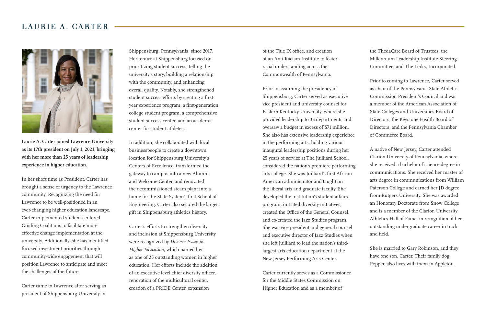## LAURIE A. CARTER



**Laurie A. Carter joined Lawrence University as its 17th president on July 1, 2021, bringing with her more than 25 years of leadership experience in higher education.** 

In her short time as President, Carter has brought a sense of urgency to the Lawrence community. Recognizing the need for Lawrence to be well-positioned in an ever-changing higher education landscape, Carter implemented student-centered Guiding Coalitions to facilitate more effective change implementation at the university. Additionally, she has identified focused investment priorities through community-wide engagement that will position Lawrence to anticipate and meet the challenges of the future.

Carter came to Lawrence after serving as president of Shippensburg University in

Shippensburg, Pennsylvania, since 2017. Her tenure at Shippensburg focused on prioritizing student success, telling the university's story, building a relationship with the community, and enhancing overall quality. Notably, she strengthened student success efforts by creating a firstyear experience program, a first-generation college student program, a comprehensive student success center, and an academic center for student-athletes.

In addition, she collaborated with local businesspeople to create a downtown location for Shippensburg University's Centers of Excellence, transformed the gateway to campus into a new Alumni and Welcome Center, and renovated the decommissioned steam plant into a home for the State System's first School of Engineering. Carter also secured the largest gift in Shippensburg athletics history.

Carter's efforts to strengthen diversity and inclusion at Shippensburg University were recognized by *Diverse: Issues in Higher Education*, which named her as one of 25 outstanding women in higher education. Her efforts include the addition of an executive level chief diversity officer, renovation of the multicultural center, creation of a PRIDE Center, expansion

of the Title IX office, and creation of an Anti-Racism Institute to foster racial understanding across the Commonwealth of Pennsylvania.

Prior to assuming the presidency of Shippensburg, Carter served as executive vice president and university counsel for Eastern Kentucky University, where she provided leadership to 33 departments and oversaw a budget in excess of \$71 million. She also has extensive leadership experience in the performing arts, holding various inaugural leadership positions during her 25 years of service at The Juilliard School, considered the nation's premiere performing arts college. She was Juilliard's first African American administrator and taught on the liberal arts and graduate faculty. She developed the institution's student affairs program, initiated diversity initiatives, created the Office of the General Counsel, and co-created the Jazz Studies program. She was vice president and general counsel and executive director of Jazz Studies when she left Juilliard to lead the nation's thirdlargest arts education department at the New Jersey Performing Arts Center.

Carter currently serves as a Commissioner for the Middle States Commission on Higher Education and as a member of

the ThedaCare Board of Trustees, the Millennium Leadership Institute Steering Committee, and The Links, Incorporated.

Prior to coming to Lawrence, Carter served as chair of the Pennsylvania State Athletic Commission President's Council and was a member of the American Association of State Colleges and Universities Board of Directors, the Keystone Health Board of Directors, and the Pennsylvania Chamber of Commerce Board.

A native of New Jersey, Carter attended Clarion University of Pennsylvania, where she received a bachelor of science degree in communications. She received her master of arts degree in communications from William Paterson College and earned her JD degree from Rutgers University. She was awarded an Honorary Doctorate from Snow College and is a member of the Clarion University Athletics Hall of Fame, in recognition of her outstanding undergraduate career in track and field.

She is married to Gary Robinson, and they have one son, Carter. Their family dog, Pepper, also lives with them in Appleton.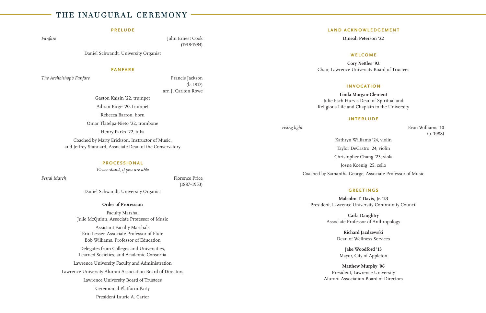## THE INAUGURAL CEREMONY

#### **PRELUDE**

*Fanfare* John Ernest Cook (1918-1984)

Daniel Schwandt, University Organist

#### **FANFARE**

*The Archbishop's Fanfare* Francis Jackson

(b. 1917) arr. J. Carlton Rowe

Gaston Kaisin '22, trumpet Adrian Birge '20, trumpet Rebecca Barron, horn Omar Tlatelpa-Nieto '22, trombone Henry Parks '22, tuba Coached by Marty Erickson, Instructor of Music, and Jeffrey Stannard, Associate Dean of the Conservatory

**PROCESSIONAL**

*Please stand, if you are able*

*Festal March* Florence Price **F** (1887–1953)

Daniel Schwandt, University Organist

#### **Order of Procession**

Faculty Marshal Julie McQuinn, Associate Professor of Music Assistant Faculty Marshals Erin Lesser, Associate Professor of Flute Bob Williams, Professor of Education Delegates from Colleges and Universities, Learned Societies, and Academic Consortia Lawrence University Faculty and Administration

Lawrence University Alumni Association Board of Directors

Lawrence University Board of Trustees

Ceremonial Platform Party

President Laurie A. Carter

#### **LAND ACKNOWLEDGEMENT**

**Dineah Peterson '22**

#### **WELCOME**

**Cory Nettles '92** Chair, Lawrence University Board of Trustees

#### **INVOCATION**

**Linda Morgan-Clement** Julie Esch Hurvis Dean of Spiritual and Religious Life and Chaplain to the University

#### **INTERLUDE**

*rising light* Evan Williams '10 (b. 1988)

> Kathryn Williams '24, violin Taylor DeCastro '24, violin Christopher Chang '23, viola Josue Koenig '25, cello Coached by Samantha George, Associate Professor of Music

#### **GREETINGS**

**Malcolm T. Davis, Jr. '23** President, Lawrence University Community Council

> **Carla Daughtry** Associate Professor of Anthropology

> > **Richard Jazdzewski** Dean of Wellness Services

**Jake Woodford '13** Mayor, City of Appleton

**Matthew Murphy '06** President, Lawrence University Alumni Association Board of Directors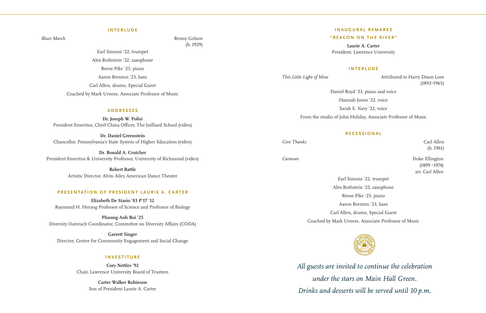#### **INTERLUDE**

*Blues March* Benny Golson (b. 1929)

> Earl Simons '22, trumpet Alex Rothstein '22, saxophone Reese Pike '25, piano Aaron Brenton '23, bass Carl Allen, drums, Special Guest Coached by Mark Urness, Associate Professor of Music

#### **ADDRESSES**

**Dr. Joseph W. Polisi** President Emeritus, Chief China Officer, The Juilliard School (video)

**Dr. Daniel Greenstein** Chancellor, Pennsylvania's State System of Higher Education (video)

**Dr. Ronald A. Crutcher** President Emeritus & University Professor, University of Richmond (video)

> **Robert Battle** Artistic Director, Alvin Ailey American Dance Theater

#### **PRESENTATION OF PRESIDENT LAURIE A. CARTER**

**Elizabeth De Stasio '83 P'17 '12** Raymond H. Herzog Professor of Science and Professor of Biology

**Phuong Anh Bui '25** Diversity Outreach Coordinator, Committee on Diversity Affairs (CODA)

**Garrett Singer** Director, Center for Community Engagement and Social Change

#### **INVESTITURE**

**Cory Nettles '92** Chair, Lawrence University Board of Trustees

> **Carter Walker Robinson** Son of President Laurie A. Carter

#### **INAUGURAL REMARKS**

#### **"BEACON ON THE RIVER"**

**Laurie A. Carter** President, Lawrence University

#### **INTERLUDE**

*This Little Light of Mine* **Attributed to Harry Dixon Loes** (1892–1965)

Daniel Boyd '23, piano and voice

Hannah Jones '22, voice

Sarah E. Navy '22, voice

From the studio of John Holiday, Associate Professor of Music

#### **RECESSIONAL**

*Give Thanks* Carl Allen

(b. 1961)

*Caravan* Duke Ellington (1899 –1974) arr. Carl Allen

> Earl Simons '22, trumpet Alex Rothstein '22, saxophone Reese Pike '25, piano Aaron Brenton '23, bass Carl Allen, drums, Special Guest Coached by Mark Urness, Associate Professor of Music



*All guests are invited to continue the celebration under the stars on Main Hall Green. Drinks and desserts will be served until 10 p.m.*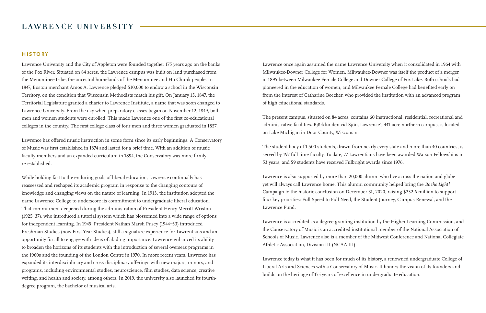### LAWRENCE UNIVERSITY

#### **HISTORY**

Lawrence University and the City of Appleton were founded together 175 years ago on the banks of the Fox River. Situated on 84 acres, the Lawrence campus was built on land purchased from the Menominee tribe, the ancestral homelands of the Menominee and Ho-Chunk people. In 1847, Boston merchant Amos A. Lawrence pledged \$10,000 to endow a school in the Wisconsin Territory, on the condition that Wisconsin Methodists match his gift. On January 15, 1847, the Territorial Legislature granted a charter to Lawrence Institute, a name that was soon changed to Lawrence University. From the day when preparatory classes began on November 12, 1849, both men and women students were enrolled. This made Lawrence one of the first co-educational colleges in the country. The first college class of four men and three women graduated in 1857.

Lawrence has offered music instruction in some form since its early beginnings. A Conservatory of Music was first established in 1874 and lasted for a brief time. With an addition of music faculty members and an expanded curriculum in 1894, the Conservatory was more firmly re-established.

While holding fast to the enduring goals of liberal education, Lawrence continually has reassessed and reshaped its academic program in response to the changing contours of knowledge and changing views on the nature of learning. In 1913, the institution adopted the name Lawrence College to underscore its commitment to undergraduate liberal education. That commitment deepened during the administration of President Henry Merritt Wriston (1925–37), who introduced a tutorial system which has blossomed into a wide range of options for independent learning. In 1945, President Nathan Marsh Pusey (1944–53) introduced Freshman Studies (now First-Year Studies), still a signature experience for Lawrentians and an opportunity for all to engage with ideas of abiding importance. Lawrence enhanced its ability to broaden the horizons of its students with the introduction of several overseas programs in the 1960s and the founding of the London Centre in 1970. In more recent years, Lawrence has expanded its interdisciplinary and cross-disciplinary offerings with new majors, minors, and programs, including environmental studies, neuroscience, film studies, data science, creative writing, and health and society, among others. In 2019, the university also launched its fourthdegree program, the bachelor of musical arts.

Lawrence once again assumed the name Lawrence University when it consolidated in 1964 with Milwaukee-Downer College for Women. Milwaukee-Downer was itself the product of a merger in 1895 between Milwaukee Female College and Downer College of Fox Lake. Both schools had pioneered in the education of women, and Milwaukee Female College had benefited early on from the interest of Catharine Beecher, who provided the institution with an advanced program of high educational standards.

The present campus, situated on 84 acres, contains 60 instructional, residential, recreational and administrative facilities. Björklunden vid Sjön, Lawrence's 441-acre northern campus, is located on Lake Michigan in Door County, Wisconsin.

The student body of 1,500 students, drawn from nearly every state and more than 40 countries, is served by 197 full-time faculty. To date, 77 Lawrentians have been awarded Watson Fellowships in 53 years, and 59 students have received Fulbright awards since 1976.

Lawrence is also supported by more than 20,000 alumni who live across the nation and globe yet will always call Lawrence home. This alumni community helped bring the *Be the Light!* Campaign to the historic conclusion on December 31, 2020, raising \$232.6 million to support four key priorities: Full Speed to Full Need, the Student Journey, Campus Renewal, and the Lawrence Fund.

Lawrence is accredited as a degree-granting institution by the Higher Learning Commission, and the Conservatory of Music is an accredited institutional member of the National Association of Schools of Music. Lawrence also is a member of the Midwest Conference and National Collegiate Athletic Association, Division III (NCAA III).

Lawrence today is what it has been for much of its history, a renowned undergraduate College of Liberal Arts and Sciences with a Conservatory of Music. It honors the vision of its founders and builds on the heritage of 175 years of excellence in undergraduate education.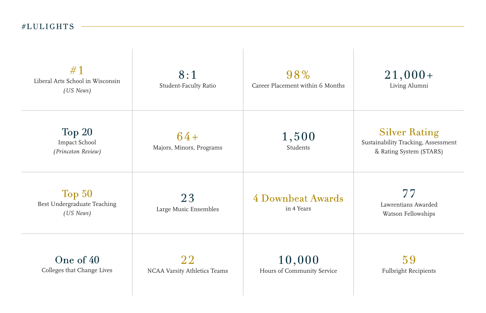# $#LULIGHTS$  -

| #1<br>Liberal Arts School in Wisconsin<br>(US News) | 8:1<br>Student-Faculty Ratio       | 98%<br>Career Placement within 6 Months | $21,000+$<br>Living Alumni                                                             |
|-----------------------------------------------------|------------------------------------|-----------------------------------------|----------------------------------------------------------------------------------------|
| Top 20<br>Impact School<br>(Princeton Review)       | $64 +$<br>Majors, Minors, Programs | 1,500<br>Students                       | <b>Silver Rating</b><br>Sustainability Tracking, Assessment<br>& Rating System (STARS) |
| Top 50<br>Best Undergraduate Teaching<br>(US News)  | 23<br>Large Music Ensembles        | 4 Downbeat Awards<br>in 4 Years         | 77<br>Lawrentians Awarded<br>Watson Fellowships                                        |
| One of 40<br>Colleges that Change Lives             | 22<br>NCAA Varsity Athletics Teams | 10,000<br>Hours of Community Service    | 59<br><b>Fulbright Recipients</b>                                                      |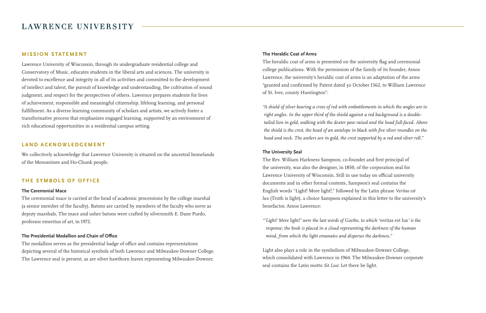### LAWRENCE UNIVERSITY

### **MISSION STATEMENT**

Lawrence University of Wisconsin, through its undergraduate residential college and Conservatory of Music, educates students in the liberal arts and sciences. The university is devoted to excellence and integrity in all of its activities and committed to the development of intellect and talent, the pursuit of knowledge and understanding, the cultivation of sound judgment, and respect for the perspectives of others. Lawrence prepares students for lives of achievement, responsible and meaningful citizenship, lifelong learning, and personal fulfillment. As a diverse learning community of scholars and artists, we actively foster a transformative process that emphasizes engaged learning, supported by an environment of rich educational opportunities in a residential campus setting.

#### **LAND ACKNOWLEDGEMENT**

We collectively acknowledge that Lawrence University is situated on the ancestral homelands of the Menominee and Ho-Chunk people.

### **THE SYMBOLS OF OFFICE**

#### **The Ceremonial Mace**

The ceremonial mace is carried at the head of academic processions by the college marshal (a senior member of the faculty). Batons are carried by members of the faculty who serve as deputy marshals. The mace and usher batons were crafted by silversmith E. Dane Purdo, professor emeritus of art, in 1972.

#### **The Presidential Medallion and Chain of Office**

The medallion serves as the presidential badge of office and contains representations depicting several of the historical symbols of both Lawrence and Milwaukee-Downer College. The Lawrence seal is present, as are silver hawthorn leaves representing Milwaukee-Downer.

#### **The Heraldic Coat of Arms**

The heraldic coat of arms is presented on the university flag and ceremonial college publications. With the permission of the family of its founder, Amos Lawrence, the university's heraldic coat of arms is an adaptation of the arms "granted and confirmed by Patent dated 30 October 1562, to William Lawrence of St. Ives, county Huntington":

*"A shield of silver bearing a cross of red with embattlements in which the angles are to right angles. In the upper third of the shield against a red background is a doubletailed lion in gold, walking with the dexter paw raised and the head full-faced. Above the shield is the crest, the head of an antelope in black with five silver roundles on the head and neck. The antlers are in gold, the crest supported by a red and silver roll."* 

#### **The University Seal**

The Rev. William Harkness Sampson, co-founder and first principal of the university, was also the designer, in 1850, of the corporation seal for Lawrence University of Wisconsin. Still in use today on official university documents and in other formal contexts, Sampson's seal contains the English words "Light! More light!," followed by the Latin phrase *Veritas est lux* (Truth is light), a choice Sampson explained in this letter to the university's benefactor, Amos Lawrence:

*"'Light! More light!' were the last words of Goethe, to which '*veritas est lux*' is the response; the book is placed in a cloud representing the darkness of the human mind, from which the light emanates and disperses the darkness."* 

Light also plays a role in the symbolism of Milwaukee-Downer College, which consolidated with Lawrence in 1964. The Milwaukee-Downer corporate seal contains the Latin motto *Sit Lux*: Let there be light.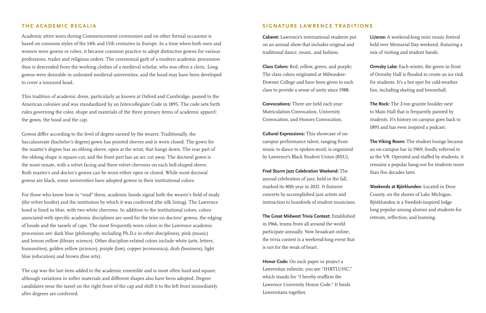#### **THE ACADEMIC REGALIA**

Academic attire worn during Commencement ceremonies and on other formal occasions is based on common styles of the 14th and 15th centuries in Europe. In a time when both men and women wore gowns or robes, it became common practice to adopt distinctive gowns for various professions, trades and religious orders. The ceremonial garb of a modern academic procession thus is descended from the working clothes of a medieval scholar, who was often a cleric. Long gowns were desirable in unheated medieval universities, and the hood may have been developed to cover a tonsured head.

This tradition of academic dress, particularly as known at Oxford and Cambridge, passed to the American colonies and was standardized by an Intercollegiate Code in 1895. The code sets forth rules governing the color, shape and materials of the three primary items of academic apparel: the gown, the hood and the cap.

Gowns differ according to the level of degree earned by the wearer. Traditionally, the baccalaureate (bachelor's degree) gown has pointed sleeves and is worn closed. The gown for the master's degree has an oblong sleeve, open at the wrist, that hangs down. The rear part of the oblong shape is square-cut, and the front part has an arc cut away. The doctoral gown is the most ornate, with a velvet facing and three velvet chevrons on each bell-shaped sleeve. Both master's and doctor's gowns can be worn either open or closed. While most doctoral gowns are black, some universities have adopted gowns in their institutional colors.

For those who know how to "read" them, academic hoods signal both the wearer's field of study (the velvet border) and the institution by which it was conferred (the silk lining). The Lawrence hood is lined in blue, with two white chevrons. In addition to the institutional colors, colors associated with specific academic disciplines are used for the trim on doctors' gowns, the edging of hoods and the tassels of caps. The most frequently worn colors in the Lawrence academic procession are: dark blue (philosophy, including Ph.D.s in other disciplines), pink (music) and lemon yellow (library science). Other discipline-related colors include white (arts, letters, humanities), golden yellow (science), purple (law), copper (economics), drab (business), light blue (education) and brown (fine arts).

The cap was the last item added to the academic ensemble and is most often hard and square, although variations in softer materials and different shapes also have been adopted. Degree candidates wear the tassel on the right front of the cap and shift it to the left front immediately after degrees are conferred.

#### **SIGNATURE LAWRENCE TRADITIONS**

**Cabaret:** Lawrence's international students put on an annual show that includes original and traditional dance, music, and fashion.

**Class Colors:** Red, yellow, green, and purple; The class colors originated at Milwaukee-Downer College and have been given to each class to provide a sense of unity since 1988.

**Convocations:** Three are held each year: Matriculation Convocation, University Convocation, and Honors Convocation.

**Cultural Expressions:** This showcase of oncampus performance talent, ranging from music to dance to spoken-word, is organized by Lawrence's Black Student Union (BSU).

**Fred Sturm Jazz Celebration Weekend:** The annual celebration of jazz, held in the fall, marked its 40th year in 2021. It features concerts by accomplished jazz artists and instruction to hundreds of student musicians.

**The Great Midwest Trivia Contest:** Established in 1966, teams from all around the world participate annually. Now broadcast online, the trivia contest is a weekend-long event that is not for the weak of heart.

**Honor Code:** On each paper or project a Lawrentian submits, you see "IHRTLUHC," which stands for "I hereby reaffirm the Lawrence University Honor Code." It binds Lawrentians together.

**LUaroo:** A weekend-long mini music festival held over Memorial Day weekend, featuring a mix of visiting and student bands.

**Ormsby Lake:** Each winter, the green in front of Ormsby Hall is flooded to create an ice rink for students. It's a hot spot for cold-weather fun, including skating and broomball.

**The Rock:** The 2-ton granite boulder next to Main Hall that is frequently painted by students. It's history on campus goes back to 1895 and has even inspired a podcast.

**The Viking Room:** The student lounge became an on-campus bar in 1969, fondly referred to as the VR. Operated and staffed by students, it remains a popular hang-out for students more than five decades later.

**Weekends at Björklunden:** Located in Door County, on the shores of Lake Michigan, Björklunden is a Swedish-inspired lodge long popular among alumni and students for retreats, reflection, and learning.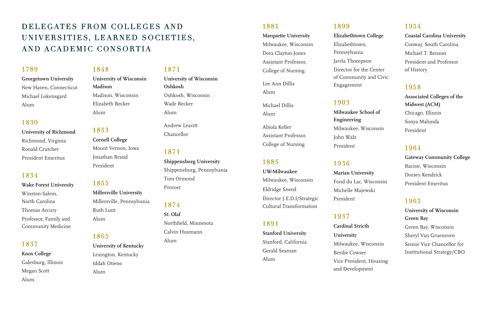# DELEGATES FROM COLLEGES AND UNIVERSITIES, LEARNED SOCIETIES, AND ACADEMIC CONSORTIA

### 1789

### **Georgetown University**  New Haven, Connecticut Michael Lokensgard Alum

### 1830

**University of Richmond** Richmond, Virginia Ronald Crutcher President Emeritus

### 1834

**Wake Forest University**  Winston-Salem, North Carolina Thomas Arcury Professor, Family and Community Medicine

### 1837

**Knox College** Galesburg, Illinois Megan Scott Alum

### 1848

**University of Wisconsin Madison**  Madison, Wisconsin Elizabeth Becker Alum

### 1853

**Cornell College**  Mount Vernon, Iowa Jonathan Brand President

### 1855

**Millersville University**  Millersville, Pennsylvania Ruth Lunt Alum

### 1865

**University of Kentucky**  Lexington, Kentucky Iddah Otieno Alum

### 1871

**University of Wisconsin Oshkosh**  Oshkosh, Wisconsin Wade Becker Alum

Andrew Leavitt Chancellor

### 1871

**Shippensburg University**  Shippensburg, Pennsylvania Tom Ormond Provost

### 1874

**St. Olaf**  Northfield, Minnesota Calvin Husmann Alum

### 1881

**Marquette University**  Milwaukee, Wisconsin Dora Clayton-Jones Assistant Professor, College of Nursing Lee Ann Dillis Alum

Michael Dillis Alum

Abiola Keller Assistant Professor, College of Nursing

### 1885

**UW-Milwaukee**  Milwaukee, Wisconsin Eldridge Sneed Director J.E.D.I/Strategic Cultural Transformation

### 1891

**Stanford University**  Stanford, California Gerald Seaman Alum

### 1899

**Elizabethtown College**  Elizabethtown, Pennsylvania Javita Thompson Director for the Center of Community and Civic Engagement

### 1903

**Milwaukee School of Engineering**  Milwaukee, Wisconsin John Walz President

### 1936

**Marian University**  Fond du Lac, Wisconsin Michelle Majewski President

### 1937

**Cardinal Stricth University** Milwaukee, Wisconsin Berdie Cowser Vice President, Housing and Development

### 1954

**Coastal Carolina University** Conway, South Carolina Michael T. Benson President and Professor of History

### 1958

**Associated Colleges of the Midwest (ACM)** Chicago, Illinois Sonya Malunda President

### 1964

**Gateway Community College**  Racine, Wisconsin Dorsey Kendrick President Emeritus

### 1965

**University of Wisconsin Green Bay**  Green Bay, Wisconsin Sheryl Van Gruensven Senior Vice Chancellor for Institutional Strategy/CBO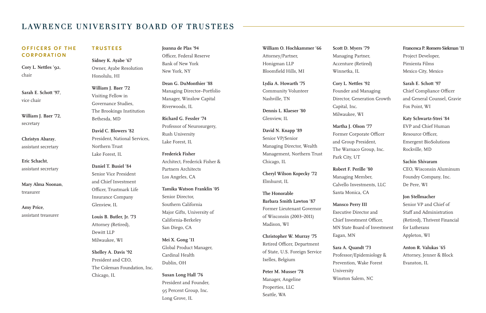## LAWRENCE UNIVERSITY BOARD OF TRUSTEES

### **OFFICERS OF THE CORPORATION**

**Cory L. Nettles '92**, chair

**Sarah E. Schott '97**, vice chair

**William J. Baer '72**, secretary

**Christyn Abaray**, assistant secretary

**Eric Schacht**, assistant secretary

**Mary Alma Noonan**, treasurer

**Amy Price**, assistant treasurer

# **TRUSTEES**

**Sidney K. Ayabe '67** Owner, Ayabe Resolution Honolulu, HI

**William J. Baer '72** Visiting Fellow in Governance Studies, The Brookings Institution Bethesda, MD

**David C. Blowers '82** President, National Services, Northern Trust Lake Forest, IL

**Daniel T. Busiel '84** Senior Vice President and Chief Investment Officer, Trustmark Life Insurance Company Glenview, IL

**Louis B. Butler, Jr. '73** Attorney (Retired), Dewitt LLP Milwaukee, WI

**Shelley A. Davis '92** President and CEO, The Coleman Foundation, Inc. Chicago, IL

**Joanna de Plas '94** Officer, Federal Reserve Bank of New York New York, NY

**Dean G. DuMonthier '88** Managing Director–Portfolio Manager, Winslow Capital Riverwoods, IL

**Richard G. Fessler '74** Professor of Neurosurgery, Rush University Lake Forest, IL

**Frederick Fisher** Architect, Frederick Fisher & Partners Architects Los Angeles, CA

**Tamika Watson Franklin '05** Senior Director, Southern California Major Gifts, University of California-Berkeley San Diego, CA

**Mei X. Gong '11** Global Product Manager, Cardinal Health Dublin, OH

**Susan Long Hall '76** President and Founder, 95 Percent Group, Inc. Long Grove, IL

**William O. Hochkammer '66** Attorney/Partner, Honigman LLP Bloomfield Hills, MI

**Lydia A. Howarth '75** Community Volunteer Nashville, TN

**Dennis L. Klaeser '80** Glenview, IL

**David N. Knapp '89** Senior VP/Senior Managing Director, Wealth Management, Northern Trust Chicago, IL

**Cheryl Wilson Kopecky '72** Elmhurst, IL

**The Honorable Barbara Smith Lawton '87** Former Lieutenant Governor of Wisconsin (2003–2011) Madison, WI

**Christopher W. Murray '75** Retired Officer, Department of State, U.S. Foreign Service Ixelles, Belgium

**Peter M. Musser '78** Manager, Angeline Properties, LLC Seattle, WA

**Scott D. Myers '79** Managing Partner, Accenture (Retired) Winnetka, IL

**Cory L. Nettles '92** Founder and Managing Director, Generation Growth Capital, Inc. Milwaukee, WI

**Martha J. Olson '77** Former Corporate Officer and Group President, The Warnaco Group, Inc. Park City, UT

**Robert F. Perille '80** Managing Member, Calvello Investments, LLC Santa Monica, CA

**Mansco Perry III** Executive Director and Chief Investment Officer, MN State Board of Investment Eagan, MN

**Sara A. Quandt '73** Professor/Epidemiology & Prevention, Wake Forest University Winston Salem, NC

### **Francesca P. Romero Siekman '11**

Project Developer, Pimienta Films Mexico City, Mexico

**Sarah E. Schott '97** Chief Compliance Officer and General Counsel, Gravie Fox Point, WI

**Katy Schwartz-Strei '84** EVP and Chief Human Resource Officer, Emergent BioSolutions Rockville, MD

**Sachin Shivaram**

CEO, Wisconsin Aluminum Foundry Company, Inc. De Pere, WI

**Jon Stellmacher** Senior VP and Chief of Staff and Administration (Retired), Thrivent Financial for Lutherans Appleton, WI

**Anton R. Valukas '65** Attorney, Jenner & Block Evanston, IL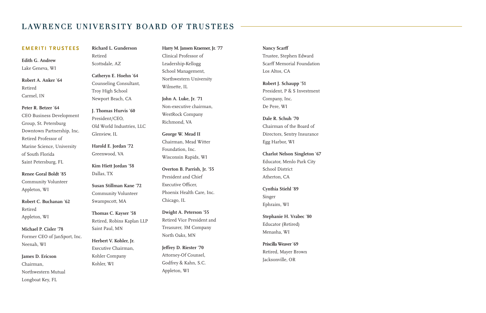## LAWRENCE UNIVERSITY BOARD OF TRUSTEES

#### **EMERITI TRUSTEES**

**Edith G. Andrew** Lake Geneva, WI

**Robert A. Anker** '**64** Retired Carmel, IN

**Peter R. Betzer** '**64** CEO Business Development Group, St. Petersburg Downtown Partnership, Inc. Retired Professor of Marine Science, University of South Florida Saint Petersburg, FL

**Renee Goral Boldt** '**85** Community Volunteer Appleton, WI

**Robert C. Buchanan** '**62** Retired Appleton, WI

**Michael P. Cisler** '**78** Former CEO of JanSport, Inc. Neenah, WI

**James D. Ericson** Chairman, Northwestern Mutual Longboat Key, FL

**Richard L. Gunderson** Retired Scottsdale, AZ

> **Catheryn E. Hoehn** '**64** Counseling Consultant, Troy High School Newport Beach, CA

**J. Thomas Hurvis** '**60** President/CEO, Old World Industries, LLC Glenview, IL

**Harold E. Jordan** '**72** Greenwood, VA

**Kim Hiett Jordan** '**58** Dallas, TX

**Susan Stillman Kane** '**72** Community Volunteer Swampscott, MA

**Thomas C. Kayser** '**58** Retired, Robins Kaplan LLP Saint Paul, MN

**Herbert V. Kohler, Jr.** Executive Chairman, Kohler Company Kohler, WI

**Harry M. Jansen Kraemer, Jr.** '**77** Clinical Professor of Leadership-Kellogg School Management, Northwestern University Wilmette, IL

**John A. Luke, Jr.** '**71** Non-executive chairman, WestRock Company Richmond, VA

**George W. Mead II** Chairman, Mead Witter Foundation, Inc. Wisconsin Rapids, WI

**Overton B. Parrish, Jr.** '**55** President and Chief Executive Officer, Phoenix Health Care, Inc. Chicago, IL

**Dwight A. Peterson** '**55** Retired Vice President and Treasurer, 3M Company North Oaks, MN

**Jeffrey D. Riester** '**70** Attorney-Of Counsel, Godfrey & Kahn, S.C. Appleton, WI

**Nancy Scarff** Trustee, Stephen Edward Scarff Memorial Foundation Los Altos, CA

**Robert J. Schaupp** '**51** President, P & S Investment Company, Inc. De Pere, WI

**Dale R. Schuh** '**70** Chairman of the Board of Directors, Sentry Insurance Egg Harbor, WI

**Charlot Nelson Singleton** '**67** Educator, Menlo Park City School District Atherton, CA

**Cynthia Stiehl** '**89** Singer Ephraim, WI

**Stephanie H. Vrabec** '**80** Educator (Retired) Menasha, WI

**Priscilla Weaver** '**69** Retired, Mayer Brown Jacksonville, OR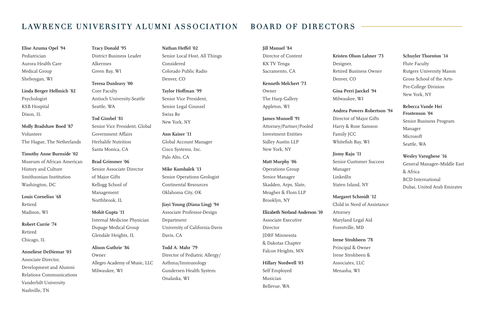# LAWRENCE UNIVERSITY ALUMNI ASSOCIATION BOARD OF DIRECTORS

**Elise Azuma Opel** '**94** Pediatrician Aurora Health Care Medical Group Sheboygan, WI

**Linda Berger Hellmich** '**82** Psychologist KSB Hospital Dixon, IL

**Molly Bradshaw Boed** '**87** Volunteer The Hague, The Netherlands

**Timothy Anne Burnside** '**02** Museum of African American History and Culture Smithsonian Institution Washington, DC

**Louis Cornelius** '**68** Retired Madison, WI

**Robert Currie** '**74** Retired Chicago, IL

**Anneliese DeDiemar** '**03** Associate Director, Development and Alumni Relations Communications Vanderbilt University Nashville, TN

**Tracy Donald** '**95** District Business Leader Alkermes Green Bay, WI **Teresa Dunleavy** '**00** Core Faculty Antioch University-Seattle

Seattle, WA

**Tod Gimbel** '**81** Senior Vice President, Global Government Affairs Herbalife Nutrition Santa Monica, CA

**Brad Grimmer** '**06** Senior Associate Director of Major Gifts Kellogg School of Management Northbrook, IL

**Mohit Gupta** '**11** Internal Medicine Physician Dupage Medical Group Glendale Heights, IL

**Alison Guthrie** '**86** Owner Allegro Academy of Music, LLC Milwaukee, WI

#### **Nathan Heffel** '**02**

Senior Local Host, All Things Considered Colorado Public Radio Denver, CO

**Taylor Hoffman** '**99** Senior Vice President, Senior Legal Counsel Swiss Re New York, NY

**Ann Kaiser** '**11** Global Account Manager Cisco Systems, Inc. Palo Alto, CA

**Mike Kumbalek** '**13**  Senior Operations Geologist Continental Resources Oklahoma City, OK

**Jiayi Young (Diana Ling)** '**94** Associate Professor-Design Department University of California-Davis Davis, CA

**Todd A. Mahr** '**79** Director of Pediatric Allergy/ Asthma/Immunology Gundersen Health System Onalaska, WI

#### **Jill Manuel** '**84**

Director of Content KX TV Tenga Sacramento, CA **Kenneth Melchert** '**73** Owner The Harp Gallery Appleton, WI

**James Munsell** '**91** Attorney/Partner/Pooled Investment Entities Sidley Austin LLP New York, NY

**Matt Murphy** '**06** Operations Group Senior Manager Skadden, Arps, Slate, Meagher & Flom LLP Brooklyn, NY

**Elizabeth Nerland Anderson** '**10** Associate Executive Director JDRF Minnesota & Dakotas Chapter Falcon Heights, MN

**Hillary Nordwell** '**03** Self Employed Musician Bellevue, WA

**Kristen Olson Lahner** '**73** Designer, Retired Business Owner Denver, CO

**Gina Perri Jaeckel** '**94** Milwaukee, WI

**Andrea Powers Robertson** '**94** Director of Major Gifts Harry & Rose Samson Family JCC Whitefish Bay, WI

**Jismy Raju** '**11** Senior Customer Success Manager LinkedIn Staten Island, NY

**Margaret Schmidt** '**12**  Child in Need of Assistance Attorney

Maryland Legal Aid Forestville, MD

**Irene Strohbeen** '**78** Principal & Owner Irene Strohbeen & Associates, LLC Menasha, WI

**Schuyler Thornton** '**14** Flute Faculty Rutgers University Mason Gross School of the Arts-Pre-College Division New York, NY

**Rebecca Vande Hei Frostenson** '**04** Senior Business Program Manager Microsoft Seattle, WA

**Wesley Varughese** '**16** General Manager–Middle East & Africa BCD International Dubai, United Arab Emirates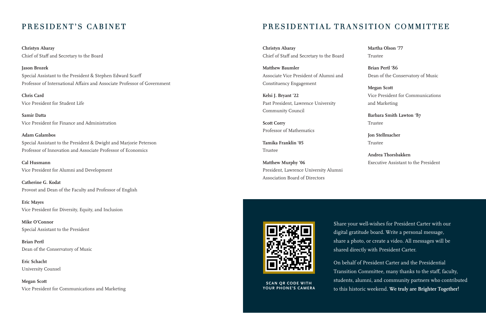**Christyn Abaray**  Chief of Staff and Secretary to the Board

**Jason Brozek**  Special Assistant to the President & Stephen Edward Scarff Professor of International Affairs and Associate Professor of Government

**Chris Card**  Vice President for Student Life

**Samir Datta**  Vice President for Finance and Administration

### **Adam Galambos**  Special Assistant to the President & Dwight and Marjorie Peterson Professor of Innovation and Associate Professor of Economics

**Cal Husmann**  Vice President for Alumni and Development

**Catherine G. Kodat**  Provost and Dean of the Faculty and Professor of English

**Eric Mayes**  Vice President for Diversity, Equity, and Inclusion

**Mike O'Connor**  Special Assistant to the President

**Brian Pertl**  Dean of the Conservatory of Music

**Eric Schacht**  University Counsel

**Megan Scott**  Vice President for Communications and Marketing

# PRESIDENT'S CABINET PRESIDENTIAL TRANSITION COMMITTEE

**Christyn Abaray**  Chief of Staff and Secretary to the Board

**Matthew Baumler**  Associate Vice President of Alumni and Constituency Engagement

**Kelsi J. Bryant '22**  Past President, Lawrence University Community Council

**Scott Corry**  Professor of Mathematics

**Tamika Franklin '05**  Trustee

**Matthew Murphy '06**  President, Lawrence University Alumni Association Board of Directors

**Martha Olson '77** Trustee

**Brian Pertl '86**  Dean of the Conservatory of Music

**Megan Scott**  Vice President for Communications and Marketing

**Barbara Smith Lawton '87**  Trustee

**Jon Stellmacher**  Trustee

**Andrea Thorsbakken**  Executive Assistant to the President



**SCAN QR CODE WITH YOUR PHONE'S CAMERA**

Share your well-wishes for President Carter with our digital gratitude board. Write a personal message, share a photo, or create a video. All messages will be shared directly with President Carter.

On behalf of President Carter and the Presidential Transition Committee, many thanks to the staff, faculty, students, alumni, and community partners who contributed to this historic weekend. **We truly are Brighter Together!**